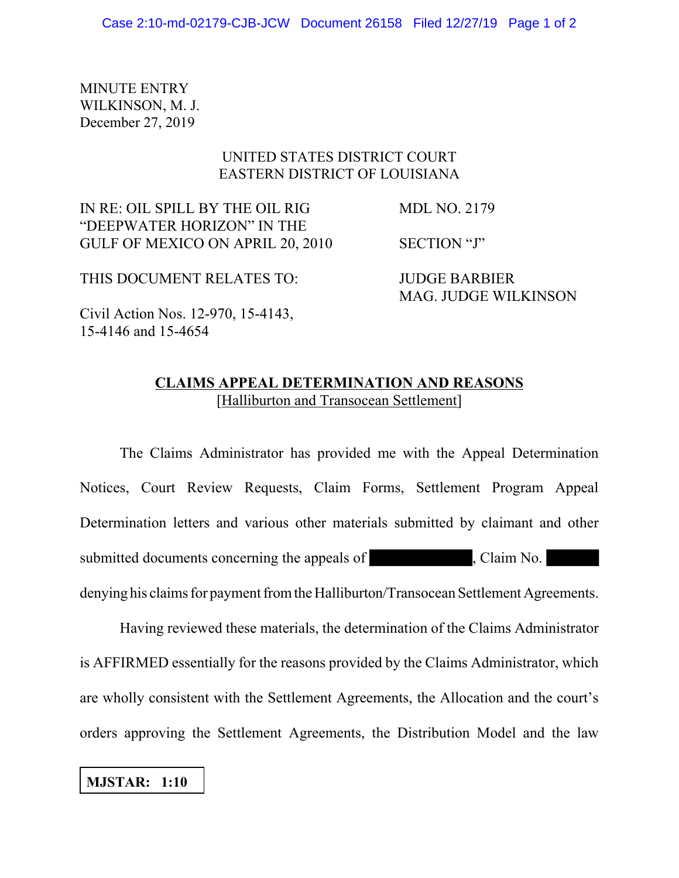MINUTE ENTRY WILKINSON, M. J. December 27, 2019

## UNITED STATES DISTRICT COURT EASTERN DISTRICT OF LOUISIANA

IN RE: OIL SPILL BY THE OIL RIG MDL NO. 2179 "DEEPWATER HORIZON" IN THE GULF OF MEXICO ON APRIL 20, 2010 SECTION "J"

THIS DOCUMENT RELATES TO: JUDGE BARBIER

MAG. JUDGE WILKINSON

Civil Action Nos. 12-970, 15-4143, 15-4146 and 15-4654

## **CLAIMS APPEAL DETERMINATION AND REASONS** [Halliburton and Transocean Settlement]

The Claims Administrator has provided me with the Appeal Determination Notices, Court Review Requests, Claim Forms, Settlement Program Appeal Determination letters and various other materials submitted by claimant and other submitted documents concerning the appeals of , Claim No. denying his claims for payment from the Halliburton/Transocean Settlement Agreements.

Having reviewed these materials, the determination of the Claims Administrator is AFFIRMED essentially for the reasons provided by the Claims Administrator, which are wholly consistent with the Settlement Agreements, the Allocation and the court's orders approving the Settlement Agreements, the Distribution Model and the law

## **MJSTAR: 1:10**